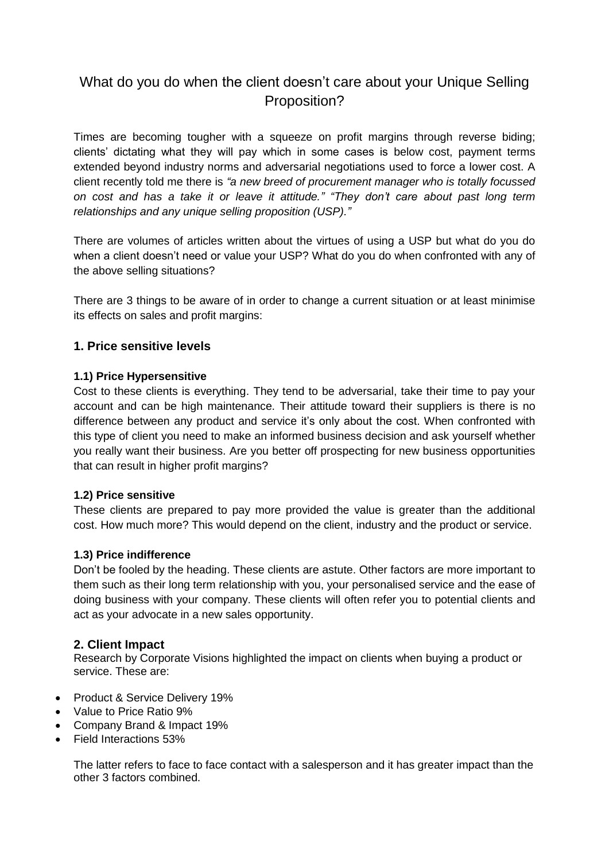# What do you do when the client doesn't care about your Unique Selling Proposition?

Times are becoming tougher with a squeeze on profit margins through reverse biding; clients' dictating what they will pay which in some cases is below cost, payment terms extended beyond industry norms and adversarial negotiations used to force a lower cost. A client recently told me there is *"a new breed of procurement manager who is totally focussed on cost and has a take it or leave it attitude." "They don't care about past long term relationships and any unique selling proposition (USP)."* 

There are volumes of articles written about the virtues of using a USP but what do you do when a client doesn't need or value your USP? What do you do when confronted with any of the above selling situations?

There are 3 things to be aware of in order to change a current situation or at least minimise its effects on sales and profit margins:

# **1. Price sensitive levels**

## **1.1) Price Hypersensitive**

Cost to these clients is everything. They tend to be adversarial, take their time to pay your account and can be high maintenance. Their attitude toward their suppliers is there is no difference between any product and service it's only about the cost. When confronted with this type of client you need to make an informed business decision and ask yourself whether you really want their business. Are you better off prospecting for new business opportunities that can result in higher profit margins?

#### **1.2) Price sensitive**

These clients are prepared to pay more provided the value is greater than the additional cost. How much more? This would depend on the client, industry and the product or service.

#### **1.3) Price indifference**

Don't be fooled by the heading. These clients are astute. Other factors are more important to them such as their long term relationship with you, your personalised service and the ease of doing business with your company. These clients will often refer you to potential clients and act as your advocate in a new sales opportunity.

# **2. Client Impact**

Research by Corporate Visions highlighted the impact on clients when buying a product or service. These are:

- Product & Service Delivery 19%
- Value to Price Ratio 9%
- Company Brand & Impact 19%
- Field Interactions 53%

The latter refers to face to face contact with a salesperson and it has greater impact than the other 3 factors combined.